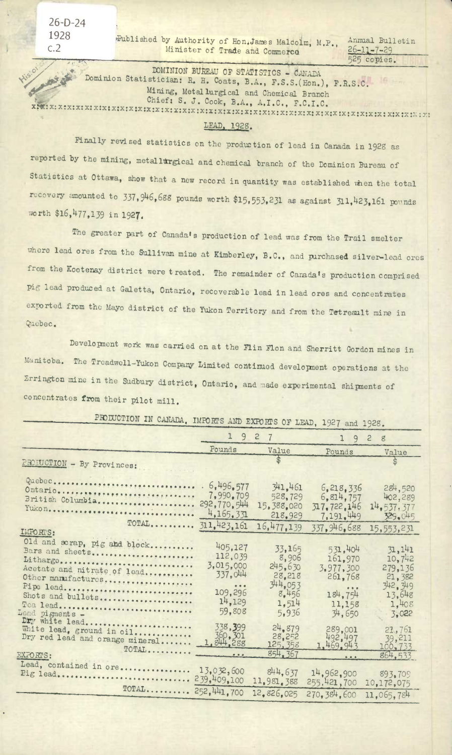Published by Authority of Hon, James Malcolm, M.P., Minister of Trade and Commerce

Annual Bulletin  $26 - 11 - 7 - 29$ 525 copies.

DOMINION BUREAU OF STATISTICS - CANADA Dominion Statistician: R. H. Coats, B.A., F.S.S. (Hon.), F.R.S.C. Mining, Metallurgical and Chemical Branch Chief: S. J. Cook, B.A., A.I.C., F.C.I.C.

## LEAD, 1928.

Finally revised statistics on the production of lead in Canada in 1928 as reported by the mining, metallurgical and chemical branch of the Dominion Bureau of Statistics at Ottawa, show that a new record in quantity was established when the total recovery amounted to 337, 946, 688 pounds worth \$15, 553, 231 as against 311, 423, 161 pounds worth \$16,477,139 in 1927.

The greater part of Canada's production of lead was from the Trail smelter where lead ores from the Sullivan mine at Kimberley, B.C., and purchased silver-lead ores from the Kootenay district were treated. The remainder of Canada's production comprised pig lead produced at Galetta, Ontario, recoverable lead in lead ores and concentrates exported from the Mayo district of the Yukon Territory and from the Tetreault mine in Quebec.

Development work was carried on at the Flin Flon and Sherritt Gordon mines in Manitoba. The Treadwell-Yukon Company Limited continued development operations at the Errington mine in the Sudbury district, Ontario, and made experimental shipments of concentrates from their pilot mill.

|                                                                                                                                                                                                        | 19<br>$\overline{c}$<br>7                                                                            |                                                                            | 9<br>$\mathbf{1}$<br>$\mathbf{c}$<br>8                                                                                                                                                                                                                                                                                                                                                                                                                                         |                                                                               |
|--------------------------------------------------------------------------------------------------------------------------------------------------------------------------------------------------------|------------------------------------------------------------------------------------------------------|----------------------------------------------------------------------------|--------------------------------------------------------------------------------------------------------------------------------------------------------------------------------------------------------------------------------------------------------------------------------------------------------------------------------------------------------------------------------------------------------------------------------------------------------------------------------|-------------------------------------------------------------------------------|
|                                                                                                                                                                                                        | Pounds                                                                                               | Value                                                                      | Pounds                                                                                                                                                                                                                                                                                                                                                                                                                                                                         | Value                                                                         |
| PRODUCTION - By Provinces:                                                                                                                                                                             |                                                                                                      |                                                                            |                                                                                                                                                                                                                                                                                                                                                                                                                                                                                |                                                                               |
| Quebec<br>Ontario<br>British Columbia<br>Yukon                                                                                                                                                         | .6,496,577<br>7,990.709<br>292,770,544<br>4,165,331                                                  | 341.461<br>528,729<br>15,388.020<br>218,929                                | 6, 218, 336<br>6,814,757<br>317.722.146<br>7,191,449                                                                                                                                                                                                                                                                                                                                                                                                                           | 284,520<br>402,289<br>14, 537, 377<br>329.045                                 |
| TOTAL<br>IMPORTS:                                                                                                                                                                                      | 311,423,161                                                                                          | 16,477,139                                                                 | 337.946.688                                                                                                                                                                                                                                                                                                                                                                                                                                                                    | 15,553,231                                                                    |
| Old and scrap, pig and block<br>Bars and sheets<br>Litharge<br>Acetate and nitrate of lead<br>Other manufactures<br>Pipe lead<br>Shots and bullets<br>Tea lead<br>Load pigments -<br>of investigation. | 405.127<br>112,039<br>3,015,000<br>337.044<br>$\bullet\bullet\bullet$<br>109,296<br>14,129<br>59,808 | 33,165<br>8,906<br>245.630<br>28,218<br>344,053<br>8.456<br>1,514<br>5,936 | 531.404<br>161,970<br>3,977,300<br>261,768<br>184,754<br>11,158<br>34,650                                                                                                                                                                                                                                                                                                                                                                                                      | 31, 141<br>10,742<br>279,136<br>21,382<br>342.349<br>13.648<br>1,408<br>3.022 |
| Dry white lead<br>White lead, ground in oil<br>Dry red lead and orange mineral<br>EXFORTS:                                                                                                             | 338,399<br>1, 844, 288                                                                               | 24,879<br>28,252<br>125, 358<br>854, 367                                   | 289,001<br>492,497<br>1,469,943<br>$\begin{array}{c c} \hline \textbf{1} & \textbf{1} & \textbf{1} & \textbf{1} \\ \hline \textbf{2} & \textbf{1} & \textbf{1} & \textbf{1} & \textbf{1} \\ \hline \textbf{3} & \textbf{1} & \textbf{1} & \textbf{1} & \textbf{1} \\ \hline \textbf{4} & \textbf{1} & \textbf{1} & \textbf{1} & \textbf{1} & \textbf{1} \\ \hline \textbf{5} & \textbf{1} & \textbf{1} & \textbf{1} & \textbf{1} & \textbf{1} \\ \hline \textbf{6} & \textbf{$ | 21,761<br>39,211<br>$100 - 733$<br>864.533                                    |
| Lead, contained in ore<br>Pig lead                                                                                                                                                                     | 13,032,600<br>239,409,100                                                                            | 844.637<br>11,981,388                                                      | 14,962,900<br>255,421,700                                                                                                                                                                                                                                                                                                                                                                                                                                                      | 893,709<br>10,172,075                                                         |
| $TOTAL$ $252,441,700$                                                                                                                                                                                  |                                                                                                      | 12,826,025                                                                 | 270, 384.600                                                                                                                                                                                                                                                                                                                                                                                                                                                                   | 11,065,784                                                                    |

PRODUCTION IN CANADA, IMPORTS AND EXPORTS OF LEAD, 1927 and 1928.

 $26-D-24$ 1928  $C.2$